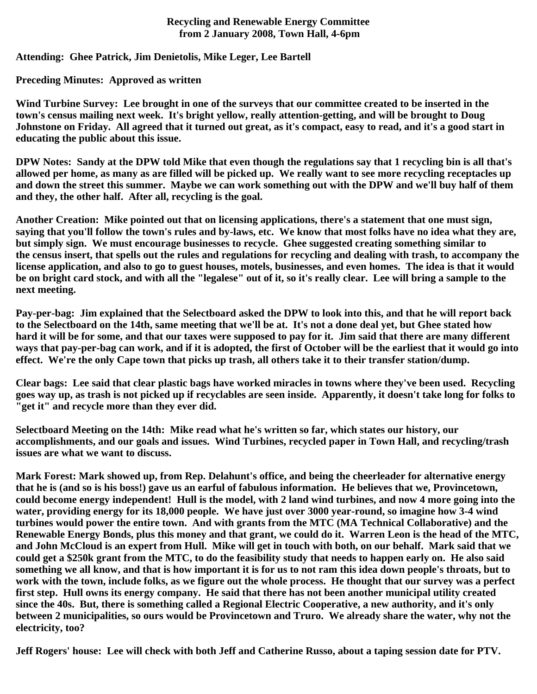## **Recycling and Renewable Energy Committee from 2 January 2008, Town Hall, 4-6pm**

## **Attending: Ghee Patrick, Jim Denietolis, Mike Leger, Lee Bartell**

## **Preceding Minutes: Approved as written**

**Wind Turbine Survey: Lee brought in one of the surveys that our committee created to be inserted in the town's census mailing next week. It's bright yellow, really attention-getting, and will be brought to Doug Johnstone on Friday. All agreed that it turned out great, as it's compact, easy to read, and it's a good start in educating the public about this issue.**

**DPW Notes: Sandy at the DPW told Mike that even though the regulations say that 1 recycling bin is all that's allowed per home, as many as are filled will be picked up. We really want to see more recycling receptacles up and down the street this summer. Maybe we can work something out with the DPW and we'll buy half of them and they, the other half. After all, recycling is the goal.** 

**Another Creation: Mike pointed out that on licensing applications, there's a statement that one must sign, saying that you'll follow the town's rules and by-laws, etc. We know that most folks have no idea what they are, but simply sign. We must encourage businesses to recycle. Ghee suggested creating something similar to the census insert, that spells out the rules and regulations for recycling and dealing with trash, to accompany the license application, and also to go to guest houses, motels, businesses, and even homes. The idea is that it would be on bright card stock, and with all the "legalese" out of it, so it's really clear. Lee will bring a sample to the next meeting.**

**Pay-per-bag: Jim explained that the Selectboard asked the DPW to look into this, and that he will report back to the Selectboard on the 14th, same meeting that we'll be at. It's not a done deal yet, but Ghee stated how hard it will be for some, and that our taxes were supposed to pay for it. Jim said that there are many different ways that pay-per-bag can work, and if it is adopted, the first of October will be the earliest that it would go into effect. We're the only Cape town that picks up trash, all others take it to their transfer station/dump.**

**Clear bags: Lee said that clear plastic bags have worked miracles in towns where they've been used. Recycling goes way up, as trash is not picked up if recyclables are seen inside. Apparently, it doesn't take long for folks to "get it" and recycle more than they ever did.**

**Selectboard Meeting on the 14th: Mike read what he's written so far, which states our history, our accomplishments, and our goals and issues. Wind Turbines, recycled paper in Town Hall, and recycling/trash issues are what we want to discuss.**

**Mark Forest: Mark showed up, from Rep. Delahunt's office, and being the cheerleader for alternative energy that he is (and so is his boss!) gave us an earful of fabulous information. He believes that we, Provincetown, could become energy independent! Hull is the model, with 2 land wind turbines, and now 4 more going into the water, providing energy for its 18,000 people. We have just over 3000 year-round, so imagine how 3-4 wind turbines would power the entire town. And with grants from the MTC (MA Technical Collaborative) and the Renewable Energy Bonds, plus this money and that grant, we could do it. Warren Leon is the head of the MTC, and John McCloud is an expert from Hull. Mike will get in touch with both, on our behalf. Mark said that we could get a \$250k grant from the MTC, to do the feasibility study that needs to happen early on. He also said something we all know, and that is how important it is for us to not ram this idea down people's throats, but to work with the town, include folks, as we figure out the whole process. He thought that our survey was a perfect first step. Hull owns its energy company. He said that there has not been another municipal utility created since the 40s. But, there is something called a Regional Electric Cooperative, a new authority, and it's only between 2 municipalities, so ours would be Provincetown and Truro. We already share the water, why not the electricity, too?** 

**Jeff Rogers' house: Lee will check with both Jeff and Catherine Russo, about a taping session date for PTV.**